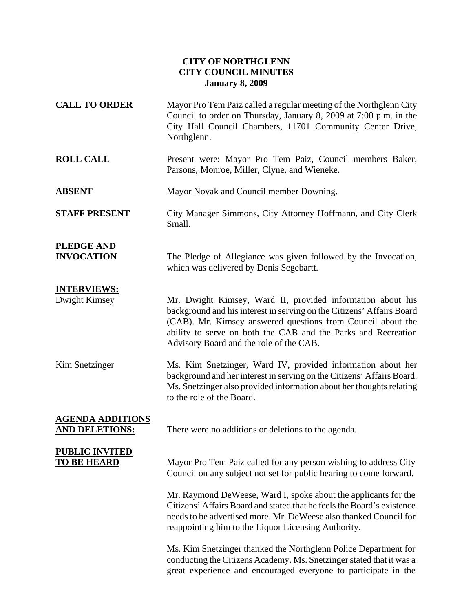## **CITY OF NORTHGLENN CITY COUNCIL MINUTES January 8, 2009**

**CALL TO ORDER** Mayor Pro Tem Paiz called a regular meeting of the Northglenn City Council to order on Thursday, January 8, 2009 at 7:00 p.m. in the City Hall Council Chambers, 11701 Community Center Drive, Northglenn. **ROLL CALL** Present were: Mayor Pro Tem Paiz, Council members Baker, Parsons, Monroe, Miller, Clyne, and Wieneke. **ABSENT** Mayor Novak and Council member Downing. **STAFF PRESENT** City Manager Simmons, City Attorney Hoffmann, and City Clerk Small. **PLEDGE AND INVOCATION** The Pledge of Allegiance was given followed by the Invocation, which was delivered by Denis Segebartt. **INTERVIEWS:** Dwight Kimsey Mr. Dwight Kimsey, Ward II, provided information about his background and his interest in serving on the Citizens' Affairs Board (CAB). Mr. Kimsey answered questions from Council about the ability to serve on both the CAB and the Parks and Recreation Advisory Board and the role of the CAB. Kim Snetzinger Ms. Kim Snetzinger, Ward IV, provided information about her background and her interest in serving on the Citizens' Affairs Board. Ms. Snetzinger also provided information about her thoughts relating to the role of the Board. **AGENDA ADDITIONS** AND DELETIONS: There were no additions or deletions to the agenda. **PUBLIC INVITED TO BE HEARD** Mayor Pro Tem Paiz called for any person wishing to address City Council on any subject not set for public hearing to come forward. Mr. Raymond DeWeese, Ward I, spoke about the applicants for the Citizens' Affairs Board and stated that he feels the Board's existence needs to be advertised more. Mr. DeWeese also thanked Council for reappointing him to the Liquor Licensing Authority. Ms. Kim Snetzinger thanked the Northglenn Police Department for conducting the Citizens Academy. Ms. Snetzinger stated that it was a great experience and encouraged everyone to participate in the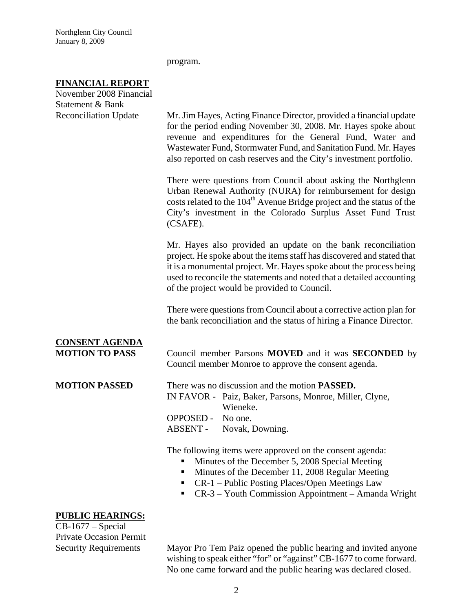program.

## **FINANCIAL REPORT**

| November 2008 Financial                          |                                                                                                                                                                                                                                                                                                                                              |
|--------------------------------------------------|----------------------------------------------------------------------------------------------------------------------------------------------------------------------------------------------------------------------------------------------------------------------------------------------------------------------------------------------|
| Statement & Bank<br><b>Reconciliation Update</b> | Mr. Jim Hayes, Acting Finance Director, provided a financial update<br>for the period ending November 30, 2008. Mr. Hayes spoke about<br>revenue and expenditures for the General Fund, Water and<br>Wastewater Fund, Stormwater Fund, and Sanitation Fund. Mr. Hayes<br>also reported on cash reserves and the City's investment portfolio. |
|                                                  | There were questions from Council about asking the Northglenn<br>Urban Renewal Authority (NURA) for reimbursement for design<br>costs related to the 104 <sup>th</sup> Avenue Bridge project and the status of the<br>City's investment in the Colorado Surplus Asset Fund Trust<br>(CSAFE).                                                 |
|                                                  | Mr. Hayes also provided an update on the bank reconciliation<br>project. He spoke about the items staff has discovered and stated that<br>it is a monumental project. Mr. Hayes spoke about the process being<br>used to reconcile the statements and noted that a detailed accounting<br>of the project would be provided to Council.       |
|                                                  | There were questions from Council about a corrective action plan for<br>the bank reconciliation and the status of hiring a Finance Director.                                                                                                                                                                                                 |
| <b>CONSENT AGENDA</b><br><b>MOTION TO PASS</b>   | Council member Parsons <b>MOVED</b> and it was <b>SECONDED</b> by<br>Council member Monroe to approve the consent agenda.                                                                                                                                                                                                                    |
| <b>MOTION PASSED</b>                             | There was no discussion and the motion <b>PASSED</b> .<br>IN FAVOR - Paiz, Baker, Parsons, Monroe, Miller, Clyne,<br>Wieneke.<br>OPPOSED - No one.<br>ABSENT -<br>Novak, Downing.                                                                                                                                                            |
|                                                  | The following items were approved on the consent agenda:<br>Minutes of the December 5, 2008 Special Meeting<br>Minutes of the December 11, 2008 Regular Meeting<br>CR-1 - Public Posting Places/Open Meetings Law                                                                                                                            |

■ CR-3 – Youth Commission Appointment – Amanda Wright

## **PUBLIC HEARINGS:**

CB-1677 – Special Private Occasion Permit

Security Requirements Mayor Pro Tem Paiz opened the public hearing and invited anyone wishing to speak either "for" or "against" CB-1677 to come forward. No one came forward and the public hearing was declared closed.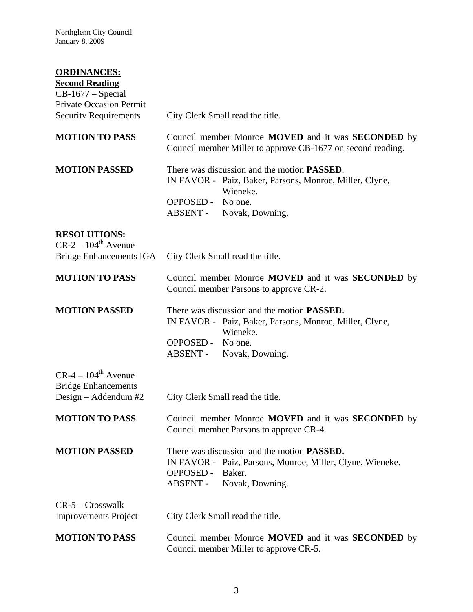Northglenn City Council January 8, 2009

## **ORDINANCES:**

| <b>Second Reading</b><br>$CB-1677$ – Special                   |                                                                                                                                                                              |
|----------------------------------------------------------------|------------------------------------------------------------------------------------------------------------------------------------------------------------------------------|
| <b>Private Occasion Permit</b><br><b>Security Requirements</b> | City Clerk Small read the title.                                                                                                                                             |
|                                                                |                                                                                                                                                                              |
| <b>MOTION TO PASS</b>                                          | Council member Monroe MOVED and it was SECONDED by<br>Council member Miller to approve CB-1677 on second reading.                                                            |
| <b>MOTION PASSED</b>                                           | There was discussion and the motion <b>PASSED</b> .<br>IN FAVOR - Paiz, Baker, Parsons, Monroe, Miller, Clyne,<br>Wieneke.                                                   |
|                                                                | <b>OPPOSED -</b><br>No one.<br>ABSENT -<br>Novak, Downing.                                                                                                                   |
| <b>RESOLUTIONS:</b><br>$CR-2-104^{\text{th}}$ Avenue           |                                                                                                                                                                              |
| <b>Bridge Enhancements IGA</b>                                 | City Clerk Small read the title.                                                                                                                                             |
| <b>MOTION TO PASS</b>                                          | Council member Monroe MOVED and it was SECONDED by<br>Council member Parsons to approve CR-2.                                                                                |
| <b>MOTION PASSED</b>                                           | There was discussion and the motion <b>PASSED</b> .<br>IN FAVOR - Paiz, Baker, Parsons, Monroe, Miller, Clyne,<br>Wieneke.                                                   |
|                                                                | <b>OPPOSED -</b><br>No one.<br>ABSENT -<br>Novak, Downing.                                                                                                                   |
| $CR-4-104^{\text{th}}$ Avenue<br><b>Bridge Enhancements</b>    |                                                                                                                                                                              |
| Design – Addendum $#2$                                         | City Clerk Small read the title.                                                                                                                                             |
| <b>MOTION TO PASS</b>                                          | Council member Monroe MOVED and it was <b>SECONDED</b> by<br>Council member Parsons to approve CR-4.                                                                         |
| <b>MOTION PASSED</b>                                           | There was discussion and the motion <b>PASSED</b> .<br>IN FAVOR - Paiz, Parsons, Monroe, Miller, Clyne, Wieneke.<br><b>OPPOSED -</b><br>Baker.<br>ABSENT-<br>Novak, Downing. |
| $CR-5 - Crosswalk$<br><b>Improvements Project</b>              | City Clerk Small read the title.                                                                                                                                             |
| <b>MOTION TO PASS</b>                                          | Council member Monroe <b>MOVED</b> and it was <b>SECONDED</b> by<br>Council member Miller to approve CR-5.                                                                   |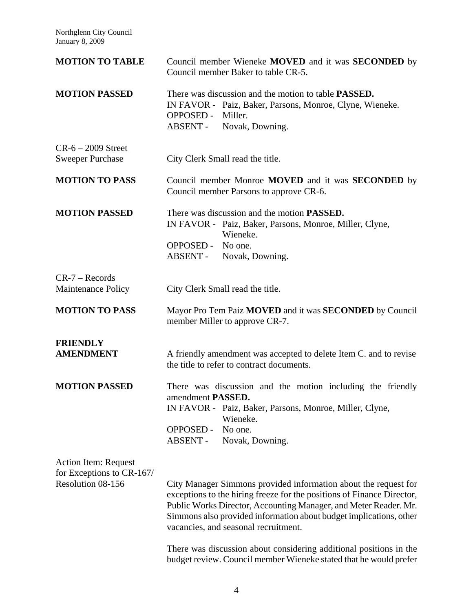Northglenn City Council January 8, 2009

| <b>MOTION TO TABLE</b>                                                        | Council member Wieneke MOVED and it was <b>SECONDED</b> by<br>Council member Baker to table CR-5.                                                                                                                                                                                                                                                                                                                                                                      |
|-------------------------------------------------------------------------------|------------------------------------------------------------------------------------------------------------------------------------------------------------------------------------------------------------------------------------------------------------------------------------------------------------------------------------------------------------------------------------------------------------------------------------------------------------------------|
| <b>MOTION PASSED</b>                                                          | There was discussion and the motion to table <b>PASSED</b> .<br>IN FAVOR - Paiz, Baker, Parsons, Monroe, Clyne, Wieneke.<br><b>OPPOSED -</b><br>Miller.<br>ABSENT -<br>Novak, Downing.                                                                                                                                                                                                                                                                                 |
| $CR-6 - 2009$ Street<br><b>Sweeper Purchase</b>                               | City Clerk Small read the title.                                                                                                                                                                                                                                                                                                                                                                                                                                       |
| <b>MOTION TO PASS</b>                                                         | Council member Monroe <b>MOVED</b> and it was <b>SECONDED</b> by<br>Council member Parsons to approve CR-6.                                                                                                                                                                                                                                                                                                                                                            |
| <b>MOTION PASSED</b>                                                          | There was discussion and the motion <b>PASSED</b> .<br>IN FAVOR - Paiz, Baker, Parsons, Monroe, Miller, Clyne,<br>Wieneke.<br>OPPOSED - No one.<br>ABSENT -<br>Novak, Downing.                                                                                                                                                                                                                                                                                         |
| $CR-7 - Records$<br><b>Maintenance Policy</b>                                 | City Clerk Small read the title.                                                                                                                                                                                                                                                                                                                                                                                                                                       |
| <b>MOTION TO PASS</b>                                                         | Mayor Pro Tem Paiz MOVED and it was SECONDED by Council<br>member Miller to approve CR-7.                                                                                                                                                                                                                                                                                                                                                                              |
| <b>FRIENDLY</b><br><b>AMENDMENT</b>                                           | A friendly amendment was accepted to delete Item C. and to revise<br>the title to refer to contract documents.                                                                                                                                                                                                                                                                                                                                                         |
| <b>MOTION PASSED</b>                                                          | There was discussion and the motion including the friendly<br>amendment PASSED.<br>IN FAVOR - Paiz, Baker, Parsons, Monroe, Miller, Clyne,<br>Wieneke.<br><b>OPPOSED -</b><br>No one.<br>ABSENT -<br>Novak, Downing.                                                                                                                                                                                                                                                   |
| <b>Action Item: Request</b><br>for Exceptions to CR-167/<br>Resolution 08-156 | City Manager Simmons provided information about the request for<br>exceptions to the hiring freeze for the positions of Finance Director,<br>Public Works Director, Accounting Manager, and Meter Reader. Mr.<br>Simmons also provided information about budget implications, other<br>vacancies, and seasonal recruitment.<br>There was discussion about considering additional positions in the<br>budget review. Council member Wieneke stated that he would prefer |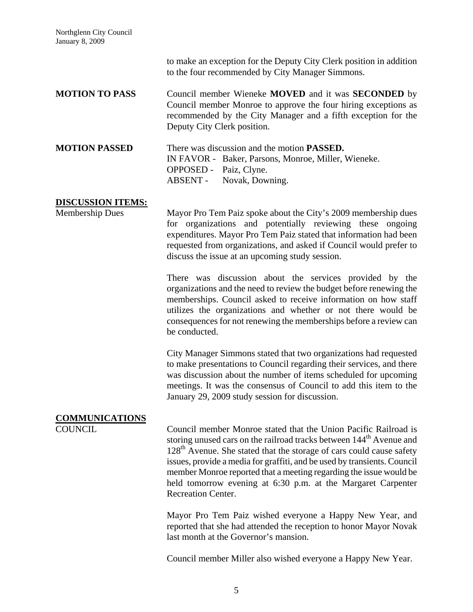Northglenn City Council January 8, 2009

to make an exception for the Deputy City Clerk position in addition to the four recommended by City Manager Simmons. **MOTION TO PASS** Council member Wieneke **MOVED** and it was **SECONDED** by Council member Monroe to approve the four hiring exceptions as recommended by the City Manager and a fifth exception for the Deputy City Clerk position. **MOTION PASSED** There was discussion and the motion **PASSED.** IN FAVOR - Baker, Parsons, Monroe, Miller, Wieneke. OPPOSED - Paiz, Clyne. ABSENT - Novak, Downing. **DISCUSSION ITEMS:** Membership Dues Mayor Pro Tem Paiz spoke about the City's 2009 membership dues for organizations and potentially reviewing these ongoing expenditures. Mayor Pro Tem Paiz stated that information had been requested from organizations, and asked if Council would prefer to discuss the issue at an upcoming study session. There was discussion about the services provided by the organizations and the need to review the budget before renewing the memberships. Council asked to receive information on how staff utilizes the organizations and whether or not there would be consequences for not renewing the memberships before a review can be conducted. City Manager Simmons stated that two organizations had requested to make presentations to Council regarding their services, and there was discussion about the number of items scheduled for upcoming meetings. It was the consensus of Council to add this item to the January 29, 2009 study session for discussion. **COMMUNICATIONS** COUNCIL Council member Monroe stated that the Union Pacific Railroad is storing unused cars on the railroad tracks between 144<sup>th</sup> Avenue and 128<sup>th</sup> Avenue. She stated that the storage of cars could cause safety issues, provide a media for graffiti, and be used by transients. Council member Monroe reported that a meeting regarding the issue would be held tomorrow evening at 6:30 p.m. at the Margaret Carpenter Recreation Center. Mayor Pro Tem Paiz wished everyone a Happy New Year, and reported that she had attended the reception to honor Mayor Novak last month at the Governor's mansion.

Council member Miller also wished everyone a Happy New Year.